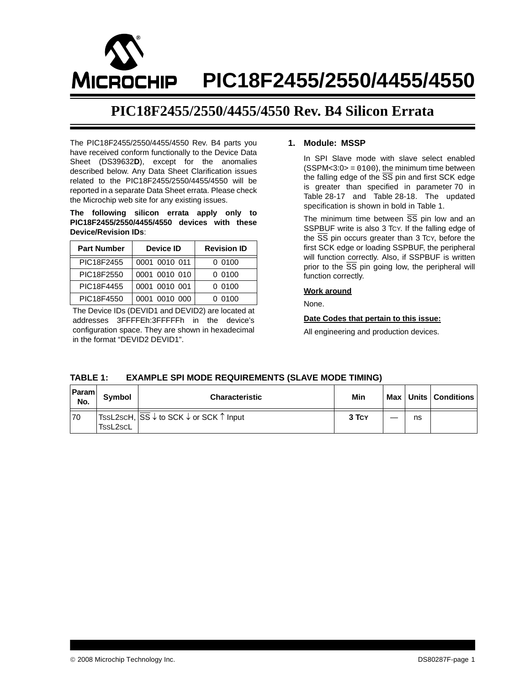**PIC18F2455/2550/4455/4550 MICROCHIP** 

# **PIC18F2455/2550/4455/4550 Rev. B4 Silicon Errata**

The PIC18F2455/2550/4455/4550 Rev. B4 parts you have received conform functionally to the Device Data Sheet (DS39632**D**), except for the anomalies described below. Any Data Sheet Clarification issues related to the PIC18F2455/2550/4455/4550 will be reported in a separate Data Sheet errata. Please check the Microchip web site for any existing issues.

**The following silicon errata apply only to PIC18F2455/2550/4455/4550 devices with these Device/Revision IDs**:

| <b>Part Number</b> | <b>Device ID</b> | <b>Revision ID</b> |
|--------------------|------------------|--------------------|
| PIC18F2455         | 0001 0010 011    | 0.0100             |
| PIC18F2550         | 0001 0010 010    | 0 0100             |
| PIC18F4455         | 0001 0010 001    | 0.0100             |
| PIC18F4550         | 0001 0010 000    | 0100               |

The Device IDs (DEVID1 and DEVID2) are located at addresses 3FFFFEh:3FFFFFh in the device's configuration space. They are shown in hexadecimal in the format "DEVID2 DEVID1".

# **1. Module: MSSP**

In SPI Slave mode with slave select enabled  $(SSPM < 3:0 > 0100)$ , the minimum time between the falling edge of the  $\overline{SS}$  pin and first SCK edge is greater than specified in parameter 70 in Table 28-17 and Table 28-18. The updated specification is shown in bold in [Table 1.](#page-0-0)

The minimum time between  $\overline{SS}$  pin low and an SSPBUF write is also 3 TCY. If the falling edge of the  $\overline{SS}$  pin occurs greater than 3 TCY, before the first SCK edge or loading SSPBUF, the peripheral will function correctly. Also, if SSPBUF is written prior to the  $\overline{SS}$  pin going low, the peripheral will function correctly.

# **Work around**

None.

# **Date Codes that pertain to this issue:**

<span id="page-0-0"></span>

| TABLE 1: | <b>EXAMPLE SPI MODE REQUIREMENTS (SLAVE MODE TIMING)</b> |  |
|----------|----------------------------------------------------------|--|
|          |                                                          |  |

| Param<br>No. | Symbol                | <b>Characteristic</b>                               | Min   |    | Max   Units   Conditions |
|--------------|-----------------------|-----------------------------------------------------|-------|----|--------------------------|
| 70           | TssL <sub>2</sub> scL | <sup>1</sup> TssL2scH, SS ↓ to SCK ↓ or SCK ↑ Input | 3 TCY | ns |                          |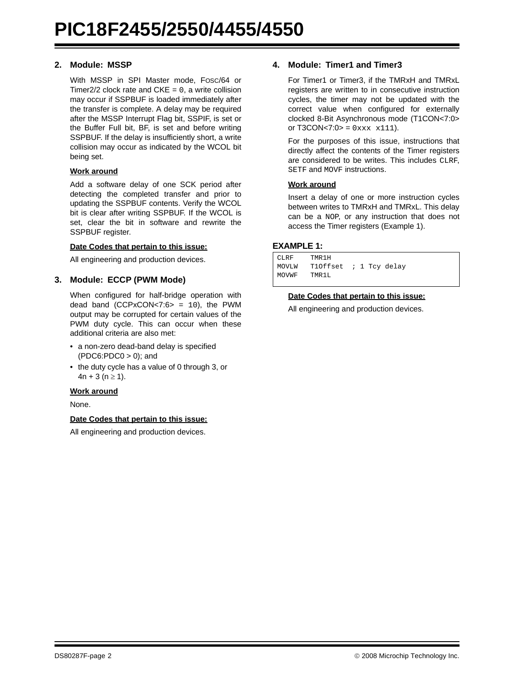# **2. Module: MSSP**

With MSSP in SPI Master mode, FOSC/64 or Timer2/2 clock rate and  $CKE = 0$ , a write collision may occur if SSPBUF is loaded immediately after the transfer is complete. A delay may be required after the MSSP Interrupt Flag bit, SSPIF, is set or the Buffer Full bit, BF, is set and before writing SSPBUF. If the delay is insufficiently short, a write collision may occur as indicated by the WCOL bit being set.

#### **Work around**

Add a software delay of one SCK period after detecting the completed transfer and prior to updating the SSPBUF contents. Verify the WCOL bit is clear after writing SSPBUF. If the WCOL is set, clear the bit in software and rewrite the SSPBUF register.

#### **Date Codes that pertain to this issue:**

All engineering and production devices.

# **3. Module: ECCP (PWM Mode)**

When configured for half-bridge operation with dead band (CCPxCON<7:6> =  $10$ ), the PWM output may be corrupted for certain values of the PWM duty cycle. This can occur when these additional criteria are also met:

- a non-zero dead-band delay is specified  $(PDC6:PDC0 > 0);$  and
- the duty cycle has a value of 0 through 3, or 4n + 3 (n ≥ 1).

## **Work around**

None.

## **Date Codes that pertain to this issue:**

All engineering and production devices.

# **4. Module: Timer1 and Timer3**

For Timer1 or Timer3, if the TMRxH and TMRxL registers are written to in consecutive instruction cycles, the timer may not be updated with the correct value when configured for externally clocked 8-Bit Asynchronous mode (T1CON<7:0> or T3CON<7:0> =  $0xxx$  x111).

For the purposes of this issue, instructions that directly affect the contents of the Timer registers are considered to be writes. This includes CLRF, SETF and MOVF instructions.

## **Work around**

Insert a delay of one or more instruction cycles between writes to TMRxH and TMRxL. This delay can be a NOP, or any instruction that does not access the Timer registers ([Example 1\)](#page-1-0).

## <span id="page-1-0"></span>**EXAMPLE 1:**

CLRF TMR1H MOVLW T1Offset ; 1 Tcy delay MOVWF TMR1L

## **Date Codes that pertain to this issue:**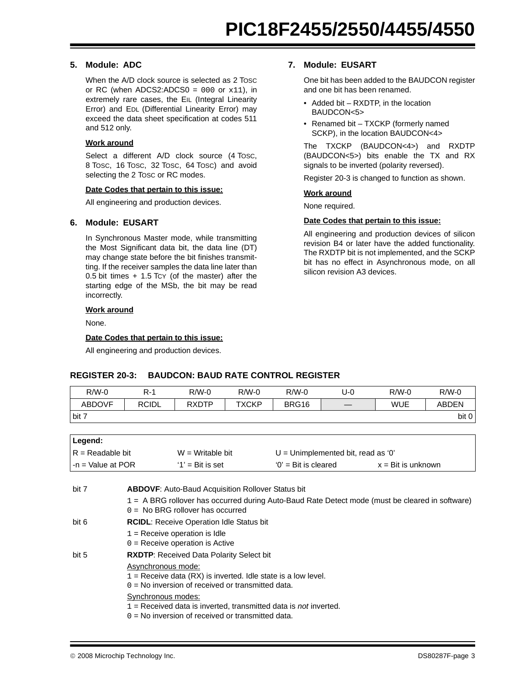#### **5. Module: ADC**

When the A/D clock source is selected as 2 Tosc or RC (when ADCS2:ADCS0 =  $000$  or  $x11$ ), in extremely rare cases, the EIL (Integral Linearity Error) and EDL (Differential Linearity Error) may exceed the data sheet specification at codes 511 and 512 only.

#### **Work around**

Select a different A/D clock source (4 Tosc, 8 TOSC, 16 TOSC, 32 TOSC, 64 TOSC) and avoid selecting the 2 TOSC or RC modes.

#### **Date Codes that pertain to this issue:**

All engineering and production devices.

#### **6. Module: EUSART**

In Synchronous Master mode, while transmitting the Most Significant data bit, the data line (DT) may change state before the bit finishes transmitting. If the receiver samples the data line later than 0.5 bit times + 1.5 TCY (of the master) after the starting edge of the MSb, the bit may be read incorrectly.

#### **Work around**

None.

#### **Date Codes that pertain to this issue:**

All engineering and production devices.

# **7. Module: EUSART**

One bit has been added to the BAUDCON register and one bit has been renamed.

- Added bit RXDTP, in the location BAUDCON<5>
- Renamed bit TXCKP (formerly named SCKP), in the location BAUDCON<4>

The TXCKP (BAUDCON<4>) and RXDTP (BAUDCON<5>) bits enable the TX and RX signals to be inverted (polarity reversed).

Register 20-3 is changed to function as shown.

#### **Work around**

None required.

#### **Date Codes that pertain to this issue:**

All engineering and production devices of silicon revision B4 or later have the added functionality. The RXDTP bit is not implemented, and the SCKP bit has no effect in Asynchronous mode, on all silicon revision A3 devices.

## **REGISTER 20-3: BAUDCON: BAUD RATE CONTROL REGISTER**

| $R/W-0$       | $R-1$        | $R/W-0$      | $R/W-0$      | $R/W-0$ | U-0 | $R/W-0$    | $R/W-0$      |
|---------------|--------------|--------------|--------------|---------|-----|------------|--------------|
| <b>ABDOVF</b> | <b>RCIDL</b> | <b>RXDTP</b> | <b>TXCKP</b> | BRG16   |     | <b>WUE</b> | <b>ABDEN</b> |
| bit 7         |              |              |              |         |     |            | bit 0        |
|               |              |              |              |         |     |            |              |

| ∣Legend:               |                     |                                      |                             |
|------------------------|---------------------|--------------------------------------|-----------------------------|
| $IR = Readable bit$    | $W = W$ ritable bit | $U =$ Unimplemented bit, read as '0' |                             |
| $l - n =$ Value at POR | $'1'$ = Bit is set  | $'0'$ = Bit is cleared               | $x = \text{Bit}$ is unknown |

| bit 7 | <b>ABDOVF:</b> Auto-Baud Acquisition Rollover Status bit                                                                              |
|-------|---------------------------------------------------------------------------------------------------------------------------------------|
|       | 1 = A BRG rollover has occurred during Auto-Baud Rate Detect mode (must be cleared in software)<br>$0 =$ No BRG rollover has occurred |
| bit 6 | <b>RCIDL:</b> Receive Operation Idle Status bit                                                                                       |
|       | $1 =$ Receive operation is Idle                                                                                                       |
|       | $0 =$ Receive operation is Active                                                                                                     |
| bit 5 | <b>RXDTP:</b> Received Data Polarity Select bit                                                                                       |
|       | Asynchronous mode:                                                                                                                    |
|       | $1 =$ Receive data (RX) is inverted. Idle state is a low level.                                                                       |
|       | $0 = No$ inversion of received or transmitted data.                                                                                   |
|       | Synchronous modes:                                                                                                                    |
|       | $1 =$ Received data is inverted, transmitted data is <i>not</i> inverted.<br>$0 = No$ inversion of received or transmitted data.      |
|       |                                                                                                                                       |
|       |                                                                                                                                       |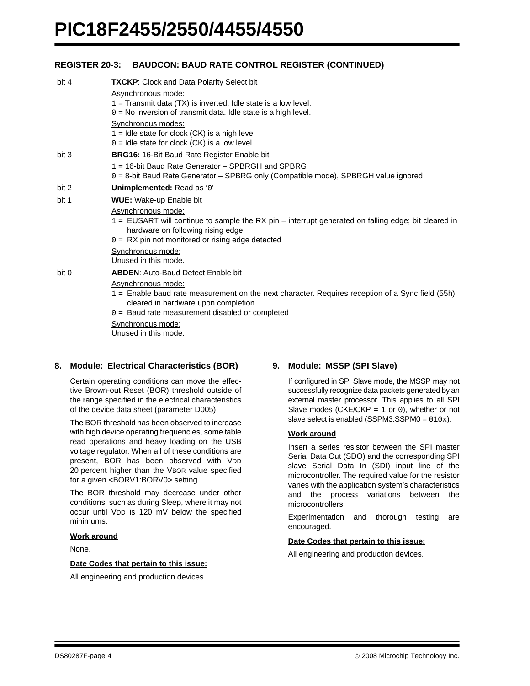# **REGISTER 20-3: BAUDCON: BAUD RATE CONTROL REGISTER (CONTINUED)**

| bit 4 | <b>TXCKP:</b> Clock and Data Polarity Select bit                                                                                                                                                                       |
|-------|------------------------------------------------------------------------------------------------------------------------------------------------------------------------------------------------------------------------|
|       | Asynchronous mode:<br>$1 =$ Transmit data (TX) is inverted. Idle state is a low level.<br>$0 = No$ inversion of transmit data. Idle state is a high level.                                                             |
|       | Synchronous modes:<br>$1 =$ Idle state for clock (CK) is a high level<br>$0 =$ Idle state for clock (CK) is a low level                                                                                                |
| bit 3 | BRG16: 16-Bit Baud Rate Register Enable bit                                                                                                                                                                            |
|       | $1 = 16$ -bit Baud Rate Generator – SPBRGH and SPBRG<br>$0 = 8$ -bit Baud Rate Generator – SPBRG only (Compatible mode), SPBRGH value ignored                                                                          |
| bit 2 | Unimplemented: Read as '0'                                                                                                                                                                                             |
| bit 1 | <b>WUE:</b> Wake-up Enable bit                                                                                                                                                                                         |
|       | Asynchronous mode:<br>$1 =$ EUSART will continue to sample the RX pin – interrupt generated on falling edge; bit cleared in<br>hardware on following rising edge<br>$0 = RX$ pin not monitored or rising edge detected |
|       | Synchronous mode:<br>Unused in this mode.                                                                                                                                                                              |
| bit 0 | <b>ABDEN:</b> Auto-Baud Detect Enable bit                                                                                                                                                                              |
|       | Asynchronous mode:<br>$1 =$ Enable baud rate measurement on the next character. Requires reception of a Sync field (55h);<br>cleared in hardware upon completion.<br>0 = Baud rate measurement disabled or completed   |
|       | Synchronous mode:<br>Unused in this mode.                                                                                                                                                                              |

## **8. Module: Electrical Characteristics (BOR)**

Certain operating conditions can move the effective Brown-out Reset (BOR) threshold outside of the range specified in the electrical characteristics of the device data sheet (parameter D005).

The BOR threshold has been observed to increase with high device operating frequencies, some table read operations and heavy loading on the USB voltage regulator. When all of these conditions are present, BOR has been observed with VDD 20 percent higher than the VBOR value specified for a given <BORV1:BORV0> setting.

The BOR threshold may decrease under other conditions, such as during Sleep, where it may not occur until VDD is 120 mV below the specified minimums.

#### **Work around**

None.

#### **Date Codes that pertain to this issue:**

All engineering and production devices.

## **9. Module: MSSP (SPI Slave)**

If configured in SPI Slave mode, the MSSP may not successfully recognize data packets generated by an external master processor. This applies to all SPI Slave modes (CKE/CKP =  $1$  or 0), whether or not slave select is enabled (SSPM3:SSPM0 =  $010x$ ).

#### **Work around**

Insert a series resistor between the SPI master Serial Data Out (SDO) and the corresponding SPI slave Serial Data In (SDI) input line of the microcontroller. The required value for the resistor varies with the application system's characteristics and the process variations between the microcontrollers.

Experimentation and thorough testing are encouraged.

#### **Date Codes that pertain to this issue:**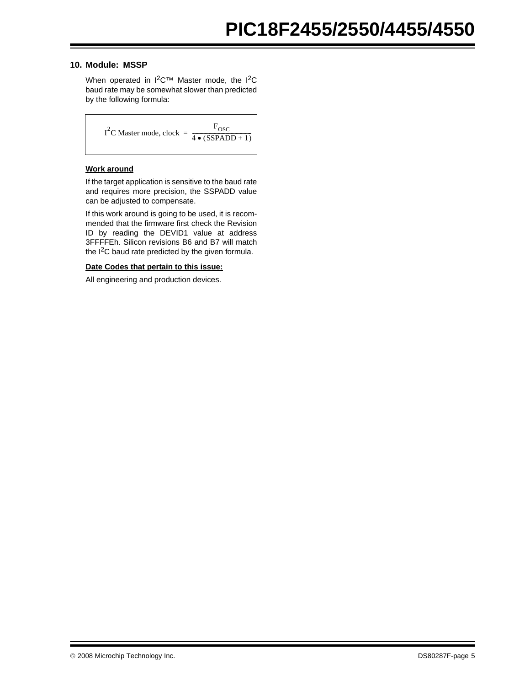# **10. Module: MSSP**

When operated in I<sup>2</sup>C™ Master mode, the I<sup>2</sup>C baud rate may be somewhat slower than predicted by the following formula:

$$
I^{2}C\text{ Master mode, clock} = \frac{F_{\text{OSC}}}{4 \cdot (\text{SSPADD} + 1)}
$$

# **Work around**

If the target application is sensitive to the baud rate and requires more precision, the SSPADD value can be adjusted to compensate.

If this work around is going to be used, it is recommended that the firmware first check the Revision ID by reading the DEVID1 value at address 3FFFFEh. Silicon revisions B6 and B7 will match the  $I^2C$  baud rate predicted by the given formula.

## **Date Codes that pertain to this issue:**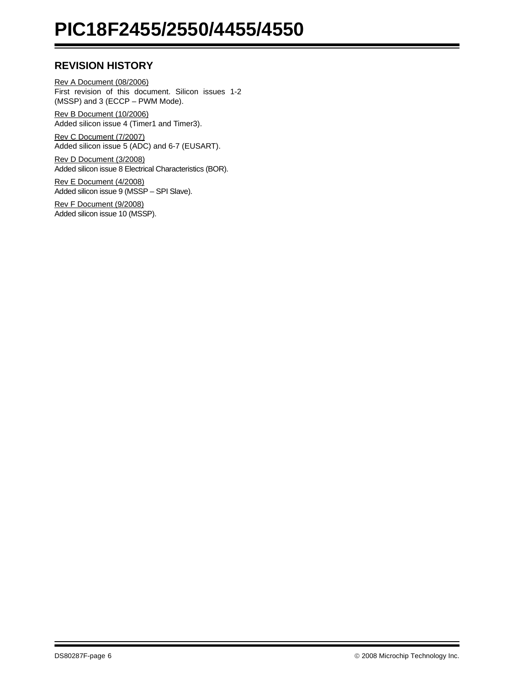# **PIC18F2455/2550/4455/4550**

# **REVISION HISTORY**

Rev A Document (08/2006) First revision of this document. Silicon issues 1-2 (MSSP) and 3 (ECCP – PWM Mode).

Rev B Document (10/2006) Added silicon issue 4 (Timer1 and Timer3).

Rev C Document (7/2007) Added silicon issue 5 (ADC) and 6-7 (EUSART).

Rev D Document (3/2008) Added silicon issue 8 Electrical Characteristics (BOR).

Rev E Document (4/2008) Added silicon issue 9 (MSSP – SPI Slave).

Rev F Document (9/2008) Added silicon issue 10 (MSSP).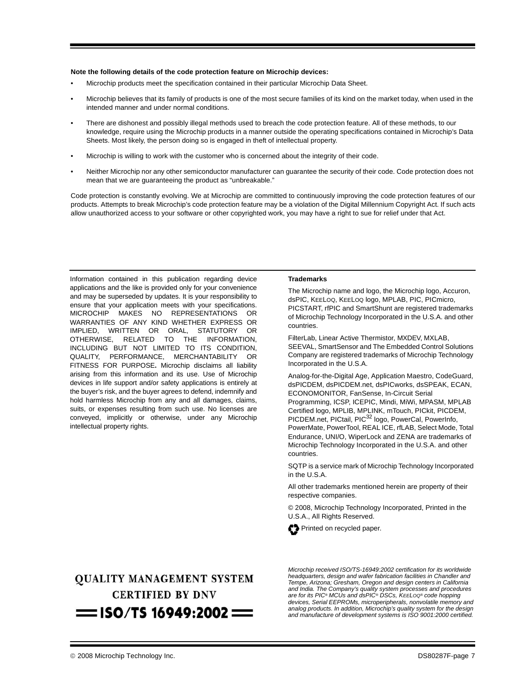#### **Note the following details of the code protection feature on Microchip devices:**

- Microchip products meet the specification contained in their particular Microchip Data Sheet.
- Microchip believes that its family of products is one of the most secure families of its kind on the market today, when used in the intended manner and under normal conditions.
- There are dishonest and possibly illegal methods used to breach the code protection feature. All of these methods, to our knowledge, require using the Microchip products in a manner outside the operating specifications contained in Microchip's Data Sheets. Most likely, the person doing so is engaged in theft of intellectual property.
- Microchip is willing to work with the customer who is concerned about the integrity of their code.
- Neither Microchip nor any other semiconductor manufacturer can guarantee the security of their code. Code protection does not mean that we are guaranteeing the product as "unbreakable."

Code protection is constantly evolving. We at Microchip are committed to continuously improving the code protection features of our products. Attempts to break Microchip's code protection feature may be a violation of the Digital Millennium Copyright Act. If such acts allow unauthorized access to your software or other copyrighted work, you may have a right to sue for relief under that Act.

Information contained in this publication regarding device applications and the like is provided only for your convenience and may be superseded by updates. It is your responsibility to ensure that your application meets with your specifications. MICROCHIP MAKES NO REPRESENTATIONS OR WARRANTIES OF ANY KIND WHETHER EXPRESS OR IMPLIED, WRITTEN OR ORAL, STATUTORY OR OTHERWISE, RELATED TO THE INFORMATION, INCLUDING BUT NOT LIMITED TO ITS CONDITION, QUALITY, PERFORMANCE, MERCHANTABILITY OR FITNESS FOR PURPOSE**.** Microchip disclaims all liability arising from this information and its use. Use of Microchip devices in life support and/or safety applications is entirely at the buyer's risk, and the buyer agrees to defend, indemnify and hold harmless Microchip from any and all damages, claims, suits, or expenses resulting from such use. No licenses are conveyed, implicitly or otherwise, under any Microchip intellectual property rights.

#### **Trademarks**

The Microchip name and logo, the Microchip logo, Accuron, dsPIC, KEELOQ, KEELOQ logo, MPLAB, PIC, PICmicro, PICSTART, rfPIC and SmartShunt are registered trademarks of Microchip Technology Incorporated in the U.S.A. and other countries.

FilterLab, Linear Active Thermistor, MXDEV, MXLAB, SEEVAL, SmartSensor and The Embedded Control Solutions Company are registered trademarks of Microchip Technology Incorporated in the U.S.A.

Analog-for-the-Digital Age, Application Maestro, CodeGuard, dsPICDEM, dsPICDEM.net, dsPICworks, dsSPEAK, ECAN, ECONOMONITOR, FanSense, In-Circuit Serial Programming, ICSP, ICEPIC, Mindi, MiWi, MPASM, MPLAB Certified logo, MPLIB, MPLINK, mTouch, PICkit, PICDEM, PICDEM.net, PICtail, PIC<sup>32</sup> logo, PowerCal, PowerInfo, PowerMate, PowerTool, REAL ICE, rfLAB, Select Mode, Total Endurance, UNI/O, WiperLock and ZENA are trademarks of Microchip Technology Incorporated in the U.S.A. and other countries.

SQTP is a service mark of Microchip Technology Incorporated in the U.S.A.

All other trademarks mentioned herein are property of their respective companies.

© 2008, Microchip Technology Incorporated, Printed in the U.S.A., All Rights Reserved.



# **QUALITY MANAGEMENT SYSTEM CERTIFIED BY DNV**  $=$  ISO/TS 16949:2002  $=$

*Microchip received ISO/TS-16949:2002 certification for its worldwide headquarters, design and wafer fabrication facilities in Chandler and Tempe, Arizona; Gresham, Oregon and design centers in California and India. The Company's quality system processes and procedures are for its PIC® MCUs and dsPIC® DSCs, KEELOQ® code hopping devices, Serial EEPROMs, microperipherals, nonvolatile memory and analog products. In addition, Microchip's quality system for the design and manufacture of development systems is ISO 9001:2000 certified.*